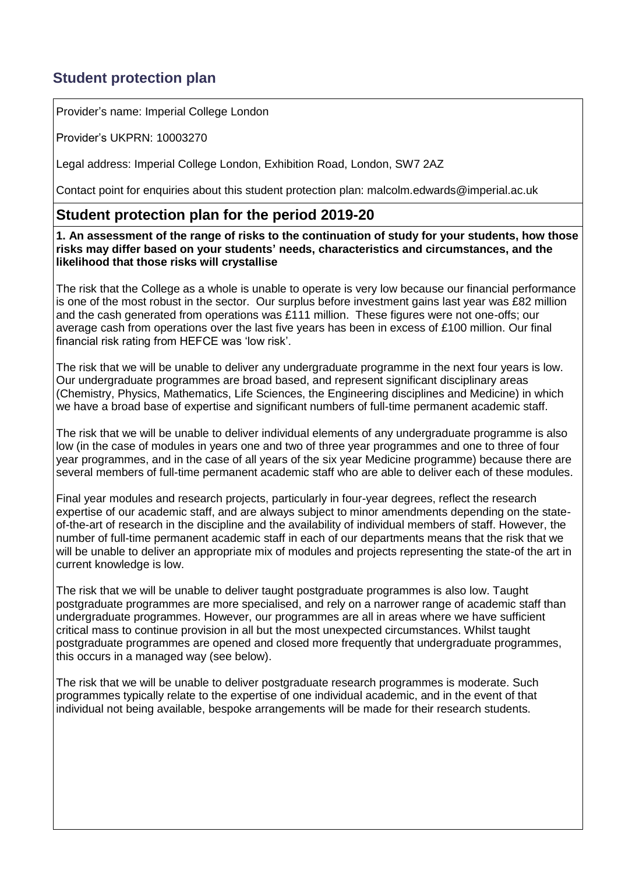## **Student protection plan**

Provider's name: Imperial College London

Provider's UKPRN: 10003270

Legal address: Imperial College London, Exhibition Road, London, SW7 2AZ

Contact point for enquiries about this student protection plan: [malcolm.edwards@imperial.ac.uk](mailto:malcolm.edwards@imperial.ac.uk)

## **Student protection plan for the period 2019-20**

**1. An assessment of the range of risks to the continuation of study for your students, how those risks may differ based on your students' needs, characteristics and circumstances, and the likelihood that those risks will crystallise**

The risk that the College as a whole is unable to operate is very low because our financial performance is one of the most robust in the sector. Our surplus before investment gains last year was £82 million and the cash generated from operations was £111 million. These figures were not one-offs; our average cash from operations over the last five years has been in excess of £100 million. Our final financial risk rating from HEFCE was 'low risk'.

The risk that we will be unable to deliver any undergraduate programme in the next four years is low. Our undergraduate programmes are broad based, and represent significant disciplinary areas (Chemistry, Physics, Mathematics, Life Sciences, the Engineering disciplines and Medicine) in which we have a broad base of expertise and significant numbers of full-time permanent academic staff.

The risk that we will be unable to deliver individual elements of any undergraduate programme is also low (in the case of modules in years one and two of three year programmes and one to three of four year programmes, and in the case of all years of the six year Medicine programme) because there are several members of full-time permanent academic staff who are able to deliver each of these modules.

Final year modules and research projects, particularly in four-year degrees, reflect the research expertise of our academic staff, and are always subject to minor amendments depending on the stateof-the-art of research in the discipline and the availability of individual members of staff. However, the number of full-time permanent academic staff in each of our departments means that the risk that we will be unable to deliver an appropriate mix of modules and projects representing the state-of the art in current knowledge is low.

The risk that we will be unable to deliver taught postgraduate programmes is also low. Taught postgraduate programmes are more specialised, and rely on a narrower range of academic staff than undergraduate programmes. However, our programmes are all in areas where we have sufficient critical mass to continue provision in all but the most unexpected circumstances. Whilst taught postgraduate programmes are opened and closed more frequently that undergraduate programmes, this occurs in a managed way (see below).

The risk that we will be unable to deliver postgraduate research programmes is moderate. Such programmes typically relate to the expertise of one individual academic, and in the event of that individual not being available, bespoke arrangements will be made for their research students.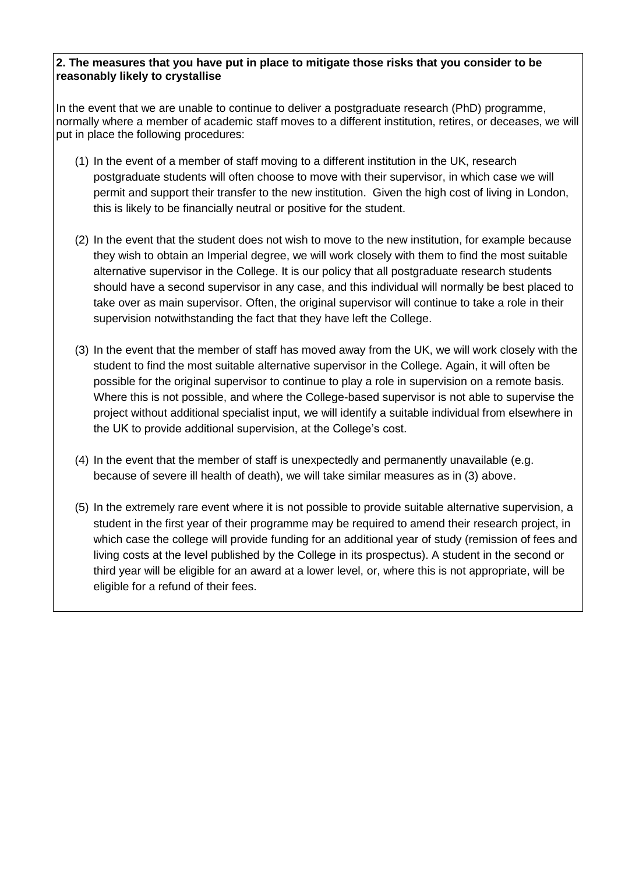## **2. The measures that you have put in place to mitigate those risks that you consider to be reasonably likely to crystallise**

In the event that we are unable to continue to deliver a postgraduate research (PhD) programme, normally where a member of academic staff moves to a different institution, retires, or deceases, we will put in place the following procedures:

- (1) In the event of a member of staff moving to a different institution in the UK, research postgraduate students will often choose to move with their supervisor, in which case we will permit and support their transfer to the new institution. Given the high cost of living in London, this is likely to be financially neutral or positive for the student.
- (2) In the event that the student does not wish to move to the new institution, for example because they wish to obtain an Imperial degree, we will work closely with them to find the most suitable alternative supervisor in the College. It is our policy that all postgraduate research students should have a second supervisor in any case, and this individual will normally be best placed to take over as main supervisor. Often, the original supervisor will continue to take a role in their supervision notwithstanding the fact that they have left the College.
- (3) In the event that the member of staff has moved away from the UK, we will work closely with the student to find the most suitable alternative supervisor in the College. Again, it will often be possible for the original supervisor to continue to play a role in supervision on a remote basis. Where this is not possible, and where the College-based supervisor is not able to supervise the project without additional specialist input, we will identify a suitable individual from elsewhere in the UK to provide additional supervision, at the College's cost.
- (4) In the event that the member of staff is unexpectedly and permanently unavailable (e.g. because of severe ill health of death), we will take similar measures as in (3) above.
- (5) In the extremely rare event where it is not possible to provide suitable alternative supervision, a student in the first year of their programme may be required to amend their research project, in which case the college will provide funding for an additional year of study (remission of fees and living costs at the level published by the College in its prospectus). A student in the second or third year will be eligible for an award at a lower level, or, where this is not appropriate, will be eligible for a refund of their fees.